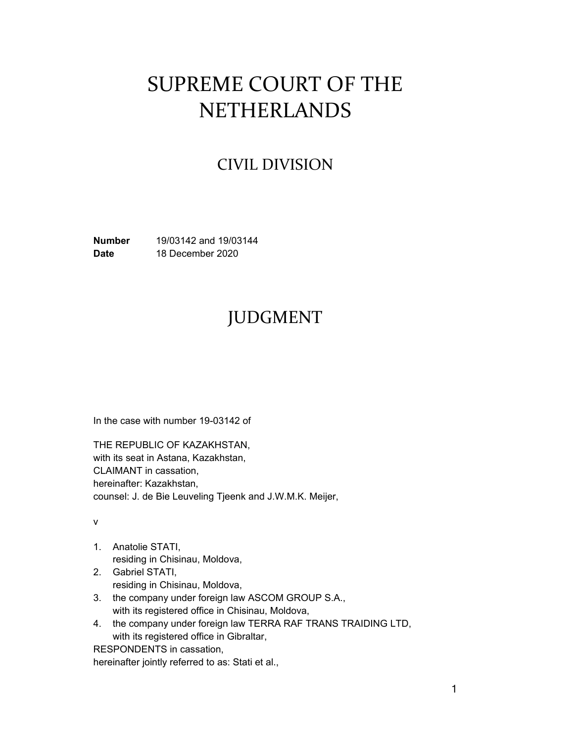# SUPREME COURT OF THE **NETHERLANDS**

### CIVIL DIVISION

**Number** 19/03142 and 19/03144 **Date** 18 December 2020

## JUDGMENT

In the case with number 19-03142 of

THE REPUBLIC OF KAZAKHSTAN, with its seat in Astana, Kazakhstan, CLAIMANT in cassation, hereinafter: Kazakhstan, counsel: J. de Bie Leuveling Tjeenk and J.W.M.K. Meijer,

v

- 1. Anatolie STATI, residing in Chisinau, Moldova,
- 2. Gabriel STATI, residing in Chisinau, Moldova,
- 3. the company under foreign law ASCOM GROUP S.A., with its registered office in Chisinau, Moldova,
- 4. the company under foreign law TERRA RAF TRANS TRAIDING LTD, with its registered office in Gibraltar,

RESPONDENTS in cassation,

hereinafter jointly referred to as: Stati et al.,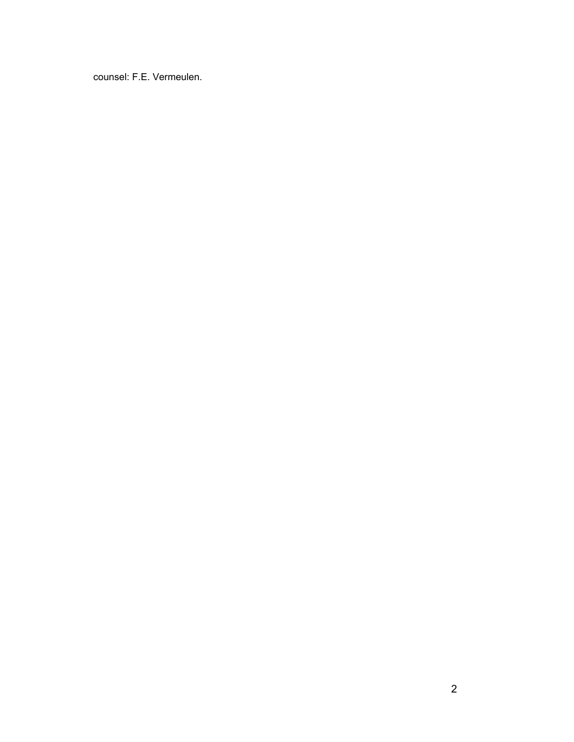counsel: F.E. Vermeulen.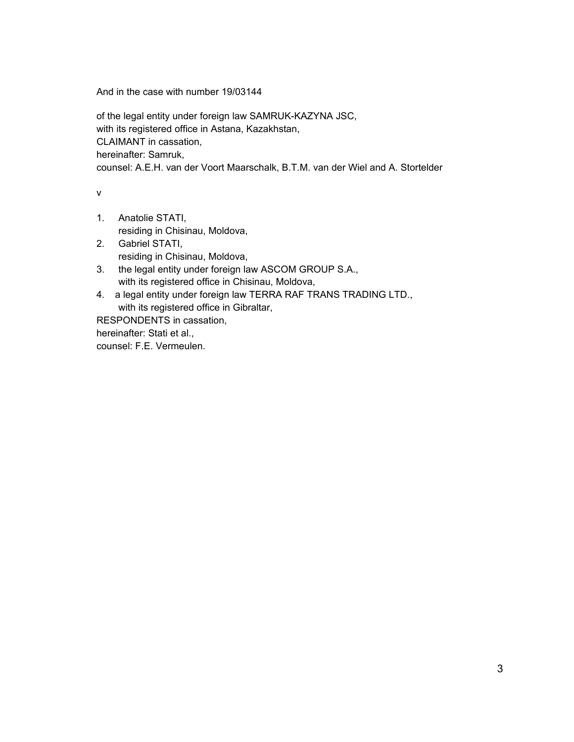And in the case with number 19/03144

of the legal entity under foreign law SAMRUK-KAZYNA JSC, with its registered office in Astana, Kazakhstan, CLAIMANT in cassation, hereinafter: Samruk, counsel: A.E.H. van der Voort Maarschalk, B.T.M. van der Wiel and A. Stortelder

v

- 1. Anatolie STATI,
	- residing in Chisinau, Moldova,
- 2. Gabriel STATI, residing in Chisinau, Moldova,
- 3. the legal entity under foreign law ASCOM GROUP S.A., with its registered office in Chisinau, Moldova,
- 4. a legal entity under foreign law TERRA RAF TRANS TRADING LTD., with its registered office in Gibraltar,

RESPONDENTS in cassation,

hereinafter: Stati et al.,

counsel: F.E. Vermeulen.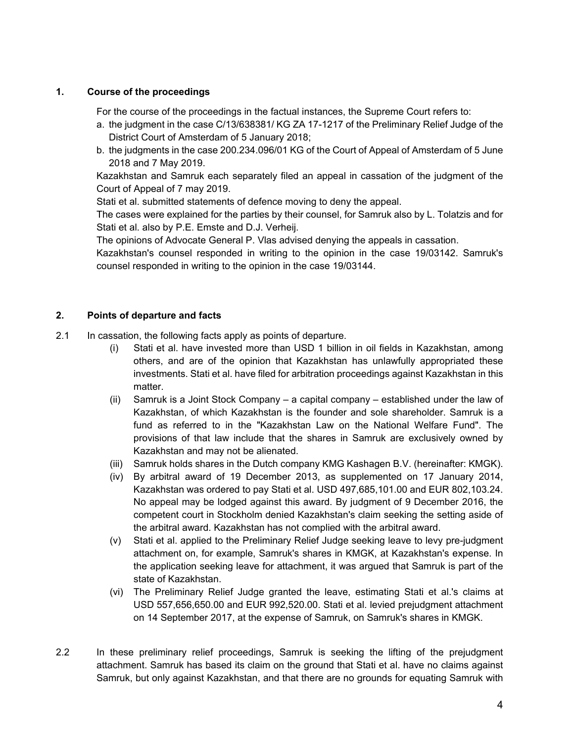#### **1. Course of the proceedings**

For the course of the proceedings in the factual instances, the Supreme Court refers to:

- a. the judgment in the case C/13/638381/ KG ZA 17-1217 of the Preliminary Relief Judge of the District Court of Amsterdam of 5 January 2018;
- b. the judgments in the case 200.234.096/01 KG of the Court of Appeal of Amsterdam of 5 June 2018 and 7 May 2019.

Kazakhstan and Samruk each separately filed an appeal in cassation of the judgment of the Court of Appeal of 7 may 2019.

Stati et al. submitted statements of defence moving to deny the appeal.

The cases were explained for the parties by their counsel, for Samruk also by L. Tolatzis and for Stati et al. also by P.E. Emste and D.J. Verheij.

The opinions of Advocate General P. Vlas advised denying the appeals in cassation.

Kazakhstan's counsel responded in writing to the opinion in the case 19/03142. Samruk's counsel responded in writing to the opinion in the case 19/03144.

#### **2. Points of departure and facts**

- 2.1 In cassation, the following facts apply as points of departure.
	- (i) Stati et al. have invested more than USD 1 billion in oil fields in Kazakhstan, among others, and are of the opinion that Kazakhstan has unlawfully appropriated these investments. Stati et al. have filed for arbitration proceedings against Kazakhstan in this matter.
	- (ii) Samruk is a Joint Stock Company a capital company established under the law of Kazakhstan, of which Kazakhstan is the founder and sole shareholder. Samruk is a fund as referred to in the "Kazakhstan Law on the National Welfare Fund". The provisions of that law include that the shares in Samruk are exclusively owned by Kazakhstan and may not be alienated.
	- (iii) Samruk holds shares in the Dutch company KMG Kashagen B.V. (hereinafter: KMGK).
	- (iv) By arbitral award of 19 December 2013, as supplemented on 17 January 2014, Kazakhstan was ordered to pay Stati et al. USD 497,685,101.00 and EUR 802,103.24. No appeal may be lodged against this award. By judgment of 9 December 2016, the competent court in Stockholm denied Kazakhstan's claim seeking the setting aside of the arbitral award. Kazakhstan has not complied with the arbitral award.
	- (v) Stati et al. applied to the Preliminary Relief Judge seeking leave to levy pre-judgment attachment on, for example, Samruk's shares in KMGK, at Kazakhstan's expense. In the application seeking leave for attachment, it was argued that Samruk is part of the state of Kazakhstan.
	- (vi) The Preliminary Relief Judge granted the leave, estimating Stati et al.'s claims at USD 557,656,650.00 and EUR 992,520.00. Stati et al. levied prejudgment attachment on 14 September 2017, at the expense of Samruk, on Samruk's shares in KMGK.
- 2.2 In these preliminary relief proceedings, Samruk is seeking the lifting of the prejudgment attachment. Samruk has based its claim on the ground that Stati et al. have no claims against Samruk, but only against Kazakhstan, and that there are no grounds for equating Samruk with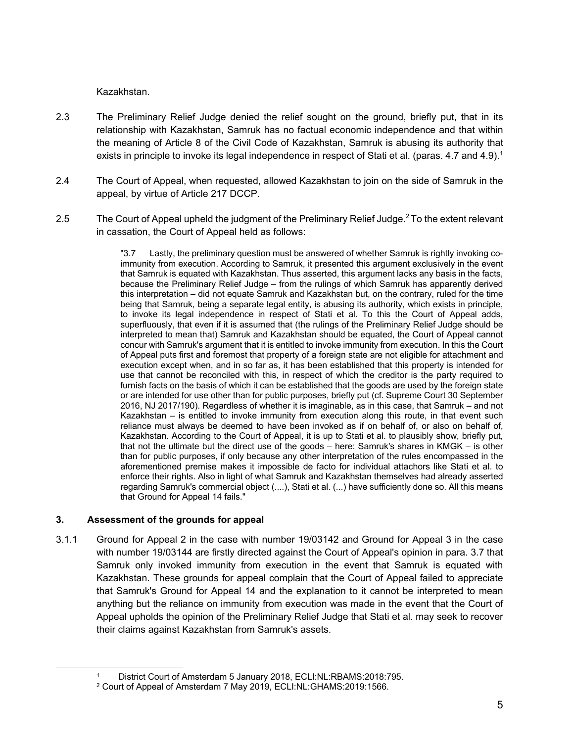Kazakhstan.

- 2.3 The Preliminary Relief Judge denied the relief sought on the ground, briefly put, that in its relationship with Kazakhstan, Samruk has no factual economic independence and that within the meaning of Article 8 of the Civil Code of Kazakhstan, Samruk is abusing its authority that exists in principle to invoke its legal independence in respect of Stati et al. (paras. 4.7 and 4.9).<sup>1</sup>
- 2.4 The Court of Appeal, when requested, allowed Kazakhstan to join on the side of Samruk in the appeal, by virtue of Article 217 DCCP.
- 2.5 The Court of Appeal upheld the judgment of the Preliminary Relief Judge.<sup>2</sup> To the extent relevant in cassation, the Court of Appeal held as follows:

"3.7 Lastly, the preliminary question must be answered of whether Samruk is rightly invoking coimmunity from execution. According to Samruk, it presented this argument exclusively in the event that Samruk is equated with Kazakhstan. Thus asserted, this argument lacks any basis in the facts, because the Preliminary Relief Judge – from the rulings of which Samruk has apparently derived this interpretation – did not equate Samruk and Kazakhstan but, on the contrary, ruled for the time being that Samruk, being a separate legal entity, is abusing its authority, which exists in principle, to invoke its legal independence in respect of Stati et al. To this the Court of Appeal adds, superfluously, that even if it is assumed that (the rulings of the Preliminary Relief Judge should be interpreted to mean that) Samruk and Kazakhstan should be equated, the Court of Appeal cannot concur with Samruk's argument that it is entitled to invoke immunity from execution. In this the Court of Appeal puts first and foremost that property of a foreign state are not eligible for attachment and execution except when, and in so far as, it has been established that this property is intended for use that cannot be reconciled with this, in respect of which the creditor is the party required to furnish facts on the basis of which it can be established that the goods are used by the foreign state or are intended for use other than for public purposes, briefly put (cf. Supreme Court 30 September 2016, NJ 2017/190). Regardless of whether it is imaginable, as in this case, that Samruk – and not Kazakhstan – is entitled to invoke immunity from execution along this route, in that event such reliance must always be deemed to have been invoked as if on behalf of, or also on behalf of, Kazakhstan. According to the Court of Appeal, it is up to Stati et al. to plausibly show, briefly put, that not the ultimate but the direct use of the goods – here: Samruk's shares in KMGK – is other than for public purposes, if only because any other interpretation of the rules encompassed in the aforementioned premise makes it impossible de facto for individual attachors like Stati et al. to enforce their rights. Also in light of what Samruk and Kazakhstan themselves had already asserted regarding Samruk's commercial object (....), Stati et al. (...) have sufficiently done so. All this means that Ground for Appeal 14 fails."

#### **3. Assessment of the grounds for appeal**

 $\overline{a}$ 

3.1.1 Ground for Appeal 2 in the case with number 19/03142 and Ground for Appeal 3 in the case with number 19/03144 are firstly directed against the Court of Appeal's opinion in para. 3.7 that Samruk only invoked immunity from execution in the event that Samruk is equated with Kazakhstan. These grounds for appeal complain that the Court of Appeal failed to appreciate that Samruk's Ground for Appeal 14 and the explanation to it cannot be interpreted to mean anything but the reliance on immunity from execution was made in the event that the Court of Appeal upholds the opinion of the Preliminary Relief Judge that Stati et al. may seek to recover their claims against Kazakhstan from Samruk's assets.

District Court of Amsterdam 5 January 2018, ECLI:NL:RBAMS:2018:795.

<sup>2</sup> Court of Appeal of Amsterdam 7 May 2019, ECLI:NL:GHAMS:2019:1566.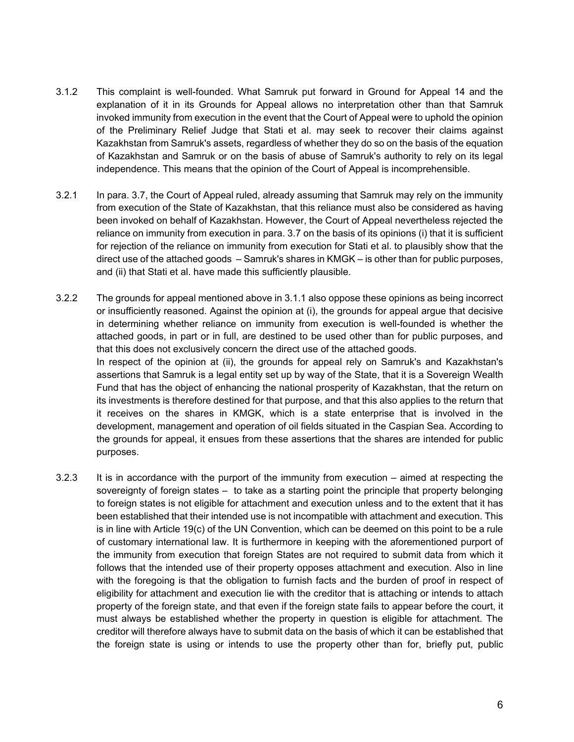- 3.1.2 This complaint is well-founded. What Samruk put forward in Ground for Appeal 14 and the explanation of it in its Grounds for Appeal allows no interpretation other than that Samruk invoked immunity from execution in the event that the Court of Appeal were to uphold the opinion of the Preliminary Relief Judge that Stati et al. may seek to recover their claims against Kazakhstan from Samruk's assets, regardless of whether they do so on the basis of the equation of Kazakhstan and Samruk or on the basis of abuse of Samruk's authority to rely on its legal independence. This means that the opinion of the Court of Appeal is incomprehensible.
- 3.2.1 In para. 3.7, the Court of Appeal ruled, already assuming that Samruk may rely on the immunity from execution of the State of Kazakhstan, that this reliance must also be considered as having been invoked on behalf of Kazakhstan. However, the Court of Appeal nevertheless rejected the reliance on immunity from execution in para. 3.7 on the basis of its opinions (i) that it is sufficient for rejection of the reliance on immunity from execution for Stati et al. to plausibly show that the direct use of the attached goods – Samruk's shares in KMGK – is other than for public purposes, and (ii) that Stati et al. have made this sufficiently plausible.
- 3.2.2 The grounds for appeal mentioned above in 3.1.1 also oppose these opinions as being incorrect or insufficiently reasoned. Against the opinion at (i), the grounds for appeal argue that decisive in determining whether reliance on immunity from execution is well-founded is whether the attached goods, in part or in full, are destined to be used other than for public purposes, and that this does not exclusively concern the direct use of the attached goods. In respect of the opinion at (ii), the grounds for appeal rely on Samruk's and Kazakhstan's assertions that Samruk is a legal entity set up by way of the State, that it is a Sovereign Wealth Fund that has the object of enhancing the national prosperity of Kazakhstan, that the return on its investments is therefore destined for that purpose, and that this also applies to the return that it receives on the shares in KMGK, which is a state enterprise that is involved in the development, management and operation of oil fields situated in the Caspian Sea. According to the grounds for appeal, it ensues from these assertions that the shares are intended for public purposes.
- 3.2.3 It is in accordance with the purport of the immunity from execution aimed at respecting the sovereignty of foreign states – to take as a starting point the principle that property belonging to foreign states is not eligible for attachment and execution unless and to the extent that it has been established that their intended use is not incompatible with attachment and execution. This is in line with Article 19(c) of the UN Convention, which can be deemed on this point to be a rule of customary international law. It is furthermore in keeping with the aforementioned purport of the immunity from execution that foreign States are not required to submit data from which it follows that the intended use of their property opposes attachment and execution. Also in line with the foregoing is that the obligation to furnish facts and the burden of proof in respect of eligibility for attachment and execution lie with the creditor that is attaching or intends to attach property of the foreign state, and that even if the foreign state fails to appear before the court, it must always be established whether the property in question is eligible for attachment. The creditor will therefore always have to submit data on the basis of which it can be established that the foreign state is using or intends to use the property other than for, briefly put, public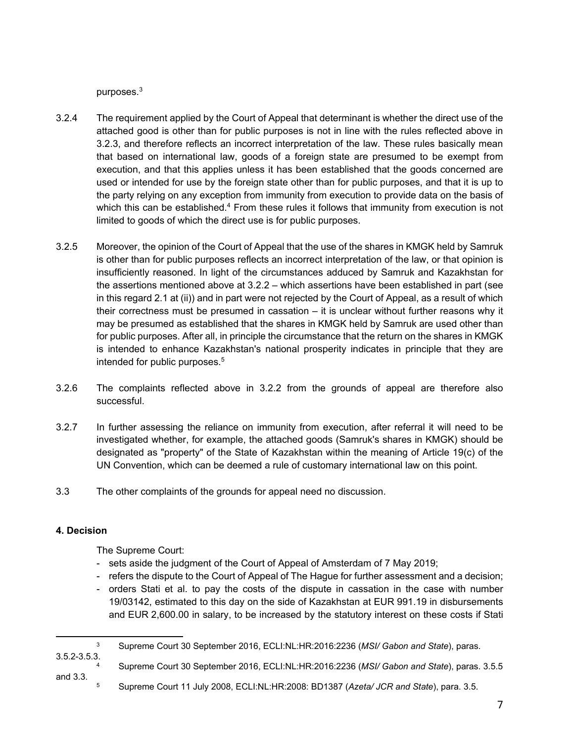purposes.3

- 3.2.4 The requirement applied by the Court of Appeal that determinant is whether the direct use of the attached good is other than for public purposes is not in line with the rules reflected above in 3.2.3, and therefore reflects an incorrect interpretation of the law. These rules basically mean that based on international law, goods of a foreign state are presumed to be exempt from execution, and that this applies unless it has been established that the goods concerned are used or intended for use by the foreign state other than for public purposes, and that it is up to the party relying on any exception from immunity from execution to provide data on the basis of which this can be established.<sup>4</sup> From these rules it follows that immunity from execution is not limited to goods of which the direct use is for public purposes.
- 3.2.5 Moreover, the opinion of the Court of Appeal that the use of the shares in KMGK held by Samruk is other than for public purposes reflects an incorrect interpretation of the law, or that opinion is insufficiently reasoned. In light of the circumstances adduced by Samruk and Kazakhstan for the assertions mentioned above at 3.2.2 – which assertions have been established in part (see in this regard 2.1 at (ii)) and in part were not rejected by the Court of Appeal, as a result of which their correctness must be presumed in cassation – it is unclear without further reasons why it may be presumed as established that the shares in KMGK held by Samruk are used other than for public purposes. After all, in principle the circumstance that the return on the shares in KMGK is intended to enhance Kazakhstan's national prosperity indicates in principle that they are intended for public purposes.<sup>5</sup>
- 3.2.6 The complaints reflected above in 3.2.2 from the grounds of appeal are therefore also successful.
- 3.2.7 In further assessing the reliance on immunity from execution, after referral it will need to be investigated whether, for example, the attached goods (Samruk's shares in KMGK) should be designated as "property" of the State of Kazakhstan within the meaning of Article 19(c) of the UN Convention, which can be deemed a rule of customary international law on this point.
- 3.3 The other complaints of the grounds for appeal need no discussion.

#### **4. Decision**

The Supreme Court:

- sets aside the judgment of the Court of Appeal of Amsterdam of 7 May 2019;
- refers the dispute to the Court of Appeal of The Hague for further assessment and a decision;
- orders Stati et al. to pay the costs of the dispute in cassation in the case with number 19/03142, estimated to this day on the side of Kazakhstan at EUR 991.19 in disbursements and EUR 2,600.00 in salary, to be increased by the statutory interest on these costs if Stati

- 3.5.2-3.5.3. 4 Supreme Court 30 September 2016, ECLI:NL:HR:2016:2236 (*MSI/ Gabon and State*), paras. 3.5.5
- 
- and 3.3. 5 Supreme Court 11 July 2008, ECLI:NL:HR:2008: BD1387 (*Azeta/ JCR and State*), para. 3.5.

 $\overline{a}$ 3 Supreme Court 30 September 2016, ECLI:NL:HR:2016:2236 (*MSI/ Gabon and State*), paras.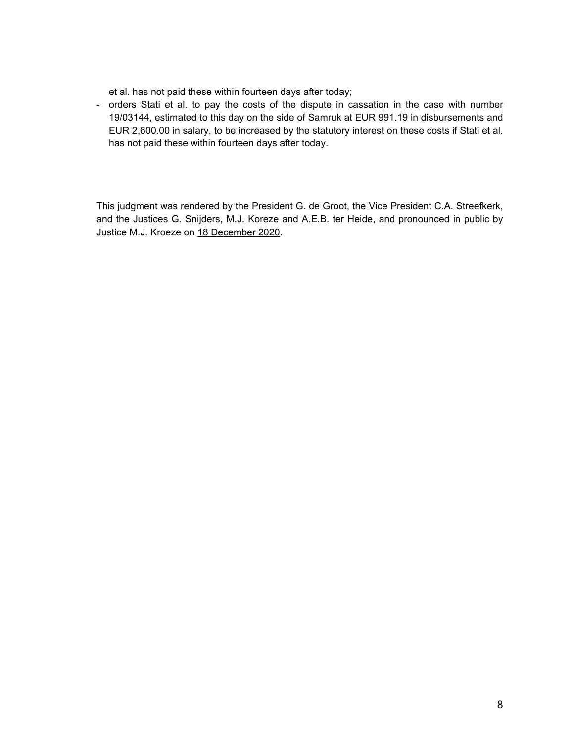et al. has not paid these within fourteen days after today;

- orders Stati et al. to pay the costs of the dispute in cassation in the case with number 19/03144, estimated to this day on the side of Samruk at EUR 991.19 in disbursements and EUR 2,600.00 in salary, to be increased by the statutory interest on these costs if Stati et al. has not paid these within fourteen days after today.

This judgment was rendered by the President G. de Groot, the Vice President C.A. Streefkerk, and the Justices G. Snijders, M.J. Koreze and A.E.B. ter Heide, and pronounced in public by Justice M.J. Kroeze on 18 December 2020.